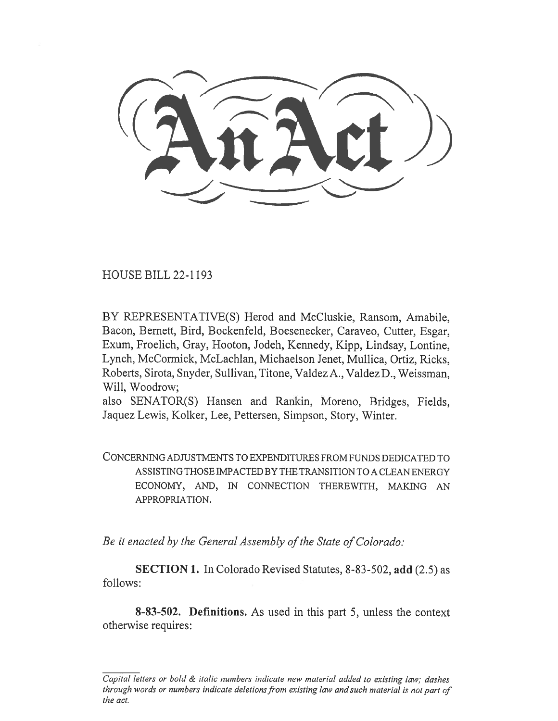HOUSE BILL 22-1193

BY REPRESENTATIVE(S) Herod and McCluskie, Ransom, Amabile, Bacon, Bernett, Bird, Bockenfeld, Boesenecker, Caraveo, Cutter, Esgar, Exum, Froelich, Gray, Hooton, Jodeh, Kennedy, Kipp, Lindsay, Lontine, Lynch, McCormick, McLachlan, Michaelson Jenet, Mullica, Ortiz, Ricks, Roberts, Sirota, Snyder, Sullivan, Titone, Valdez A., Valdez D., Weissman, Will, Woodrow;

also SENATOR(S) Hansen and Rankin, Moreno, Bridges, Fields, Jaquez Lewis, Kolker, Lee, Pettersen, Simpson, Story, Winter.

CONCERNING ADJUSTMENTS TO EXPENDITURES FROM FUNDS DEDICATED TO ASSISTING THOSE IMPACTED BY THE TRANSITION TO A CLEAN ENERGY ECONOMY, AND, IN CONNECTION THEREWITH, MAKING AN APPROPRIATION.

Be it enacted by the General Assembly of the State of Colorado:

SECTION 1. In Colorado Revised Statutes, 8-83-502, add (2.5) as follows:

8-83-502. Definitions. As used in this part 5, unless the context otherwise requires:

Capital letters or bold  $\&$  italic numbers indicate new material added to existing law; dashes through words or numbers indicate deletions from existing law and such material is not part of the act.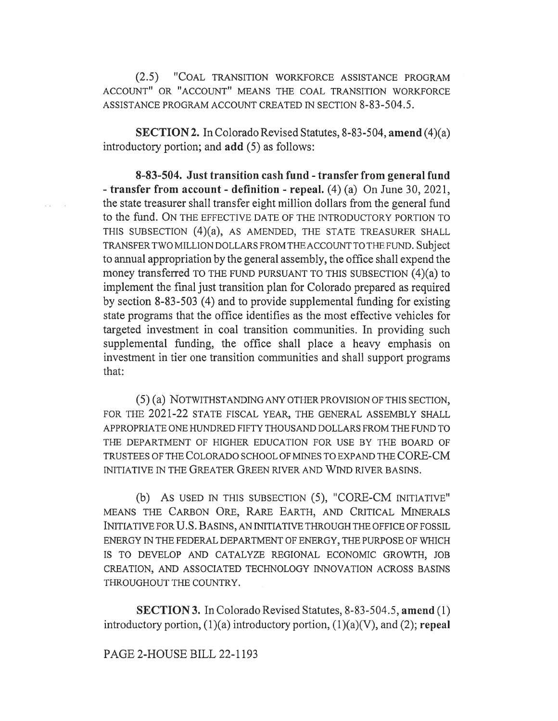(2.5) "COAL TRANSITION WORKFORCE ASSISTANCE PROGRAM ACCOUNT" OR "ACCOUNT" MEANS THE COAL TRANSITION WORKFORCE ASSISTANCE PROGRAM ACCOUNT CREATED IN SECTION 8-83-504.5.

SECTION 2. In Colorado Revised Statutes, 8-83-504, amend (4)(a) introductory portion; and add (5) as follows:

8-83-504. Just transition cash fund - transfer from general fund - transfer from account - definition - repeal. (4) (a) On June 30, 2021, the state treasurer shall transfer eight million dollars from the general fund to the fund. ON THE EFFECTIVE DATE OF THE INTRODUCTORY PORTION TO THIS SUBSECTION (4)(a), AS AMENDED, THE STATE TREASURER SHALL TRANSFER TWO MILLION DOLLARS FROM THE ACCOUNT TO THE FUND. Subject to annual appropriation by the general assembly, the office shall expend the money transferred TO THE FUND PURSUANT TO THIS SUBSECTION (4)(a) to implement the final just transition plan for Colorado prepared as required by section 8-83-503 (4) and to provide supplemental funding for existing state programs that the office identifies as the most effective vehicles for targeted investment in coal transition communities. In providing such supplemental funding, the office shall place a heavy emphasis on investment in tier one transition communities and shall support programs that:

(5) (a) NOTWITHSTANDING ANY OTHER PROVISION OF THIS SECTION, FOR THE 2021-22 STATE FISCAL YEAR, THE GENERAL ASSEMBLY SHALL APPROPRIATE ONE HUNDRED FIFTY THOUSAND DOLLARS FROM THE FUND TO THE DEPARTMENT OF HIGHER EDUCATION FOR USE BY THE BOARD OF TRUSTEES OF THE COLORADO SCHOOL OF MINES TO EXPAND THE CORE-CM INITIATIVE IN THE GREATER GREEN RIVER AND WIND RIVER BASINS.

(b) AS USED IN THIS SUBSECTION (5), "CORE-CM INITIATIVE" MEANS THE CARBON ORE, RARE EARTH, AND CRITICAL MINERALS INITIATIVE FOR U.S. BASINS, AN INITIATIVE THROUGH THE OFFICE OF FOSSIL ENERGY IN THE FEDERAL DEPARTMENT OF ENERGY, THE PURPOSE OF WHICH IS TO DEVELOP AND CATALYZE REGIONAL ECONOMIC GROWTH, JOB CREATION, AND ASSOCIATED TECHNOLOGY INNOVATION ACROSS BASINS THROUGHOUT THE COUNTRY.

SECTION 3. In Colorado Revised Statutes, 8-83-504.5, amend (1) introductory portion,  $(1)(a)$  introductory portion,  $(1)(a)(V)$ , and  $(2)$ ; repeal

PAGE 2-HOUSE BILL 22-1193

 $\mathcal{P}(\mathcal{C}) \qquad \mathcal{V}(\mathcal{C})$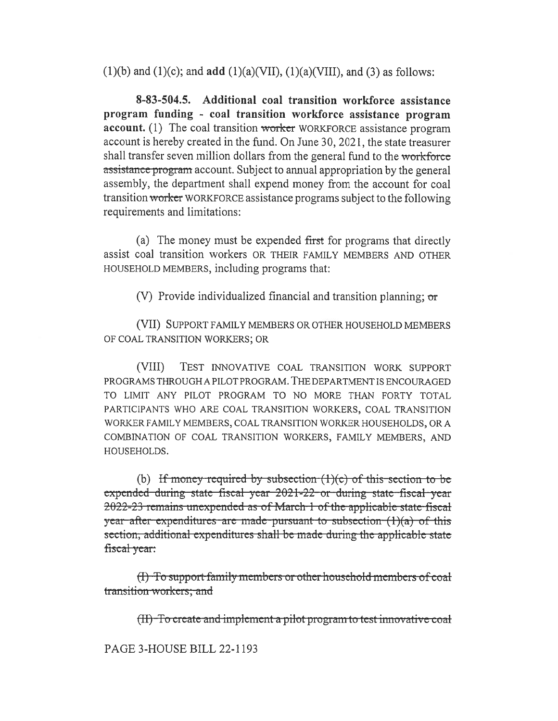(1)(b) and (1)(c); and add (1)(a)(VII), (1)(a)(VIII), and (3) as follows:

8-83-504.5. Additional coal transition workforce assistance program funding - coal transition workforce assistance program account. (1) The coal transition worker WORKFORCE assistance program account is hereby created in the fund. On June 30, 2021, the state treasurer shall transfer seven million dollars from the general fund to the workforce assistance program account. Subject to annual appropriation by the general assembly, the department shall expend money from the account for coal transition worker WORKFORCE assistance programs subject to the following requirements and limitations:

(a) The money must be expended first for programs that directly assist coal transition workers OR THEIR FAMILY MEMBERS AND OTHER HOUSEHOLD MEMBERS, including programs that:

(V) Provide individualized financial and transition planning; or

(VII) SUPPORT FAMILY MEMBERS OR OTHER HOUSEHOLD MEMBERS OF COAL TRANSITION WORKERS; OR

(VIII) TEST INNOVATIVE COAL TRANSITION WORK SUPPORT PROGRAMS THROUGH A PILOT PROGRAM. THE DEPARTMENT IS ENCOURAGED TO LIMIT ANY PILOT PROGRAM TO NO MORE THAN FORTY TOTAL PARTICIPANTS WHO ARE COAL TRANSITION WORKERS, COAL TRANSITION WORKER FAMILY MEMBERS, COAL TRANSITION WORKER HOUSEHOLDS, OR A COMBINATION OF COAL TRANSITION WORKERS, FAMILY MEMBERS, AND HOUSEHOLDS.

(b) If money required by subsection  $(1)(c)$  of this section to be expended-during-state-fiscal-year-2021-22-or-during-state-fiscal-year 2022-23 remains unexpended as of March-1 of the applicable state-fiscal year-after-expenditures-are-made-pursuant-to-subsection  $(1)(a)$  of this section, additional expenditures shall be made during the applicable state fiscal year:

(I) To support family members or other household members of coal transition workers; and

 $(H)$ -To create and implement a pilot program to test innovative coal

PAGE 3-HOUSE BILL 22-1193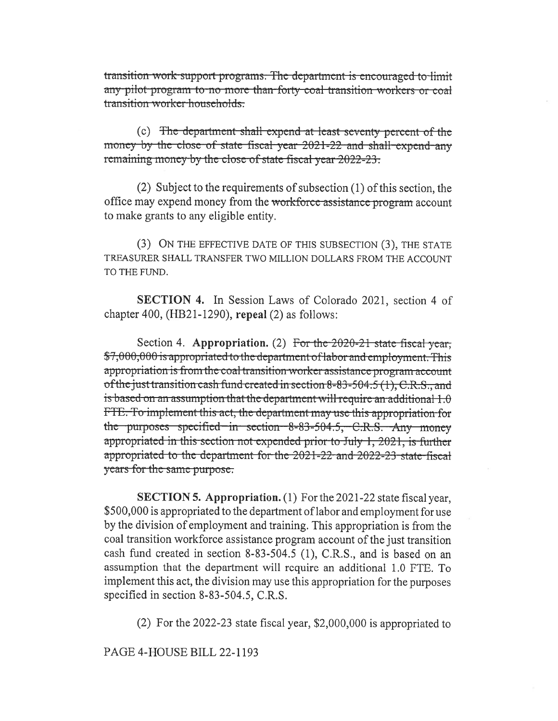transition work support programs. The department is encouraged to limit any pilot program to no more than forty coal transition workers or coal transition worker households.

(c) The department shall expend at least seventy percent of the money by the close of state fiscal year 2021-22 and shall expend any remaining money by the close of state fiscal year 2022-23.

(2) Subject to the requirements of subsection (1) of this section, the office may expend money from the workforce assistance program account to make grants to any eligible entity.

(3) ON THE EFFECTIVE DATE OF THIS SUBSECTION (3), THE STATE TREASURER SHALL TRANSFER TWO MILLION DOLLARS FROM THE ACCOUNT TO THE FUND.

**SECTION 4.** In Session Laws of Colorado 2021, section 4 of chapter 400,  $(HB21-1290)$ , repeal  $(2)$  as follows:

Section 4. Appropriation. (2) For the  $2020-21$  state fiscal year. \$7,000,000 is appropriated to the department of labor and employment. This appropriation is from the coal transition worker assistance program account of the just transition cash fund created in section 8-83-504.5 (1), C.R.S., and is based on an assumption that the department will require an additional  $1.0$ FTE. To implement this act, the department may use this appropriation for the purposes specified in section 8-83-504.5, C.R.S. Any money appropriated in this section not expended prior to July 1, 2021, is further appropriated to the department for the 2021-22 and 2022-23 state fiscal years for the same purpose.

**SECTION 5. Appropriation.** (1) For the 2021-22 state fiscal year, \$500,000 is appropriated to the department of labor and employment for use by the division of employment and training. This appropriation is from the coal transition workforce assistance program account of the just transition cash fund created in section 8-83-504.5 (1), C.R.S., and is based on an assumption that the department will require an additional 1.0 FTE. To implement this act, the division may use this appropriation for the purposes specified in section 8-83-504.5, C.R.S.

(2) For the 2022-23 state fiscal year,  $$2,000,000$  is appropriated to

PAGE 4-HOUSE BILL 22-1193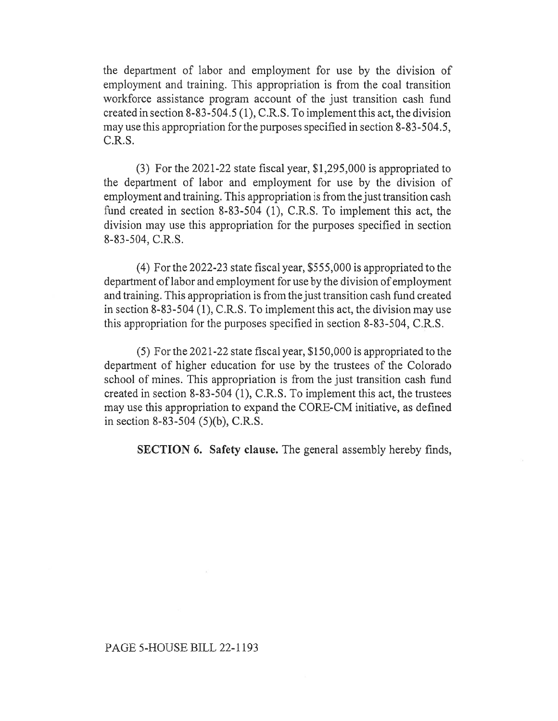the department of labor and employment for use by the division of employment and training. This appropriation is from the coal transition workforce assistance program account of the just transition cash fund created in section 8-83-504.5 (1), C.R.S. To implement this act, the division may use this appropriation for the purposes specified in section 8-83-504.5, C.R.S.

(3) For the 2021-22 state fiscal year, \$1,295,000 is appropriated to the department of labor and employment for use by the division of employment and training. This appropriation is from the just transition cash fund created in section 8-83-504 (1), C.R.S. To implement this act, the division may use this appropriation for the purposes specified in section 8-83-504, C.R.S.

(4) For the 2022-23 state fiscal year, \$555,000 is appropriated to the department of labor and employment for use by the division of employment and training. This appropriation is from the just transition cash fund created in section 8-83-504 (1), C.R.S. To implement this act, the division may use this appropriation for the purposes specified in section 8-83-504, C.R.S.

(5) For the 2021-22 state fiscal year, \$150,000 is appropriated to the department of higher education for use by the trustees of the Colorado school of mines. This appropriation is from the just transition cash fund created in section 8-83-504 (1), C.R.S. To implement this act, the trustees may use this appropriation to expand the CORE-CM initiative, as defined in section 8-83-504 (5)(b), C.R.S.

SECTION 6. Safety clause. The general assembly hereby finds,